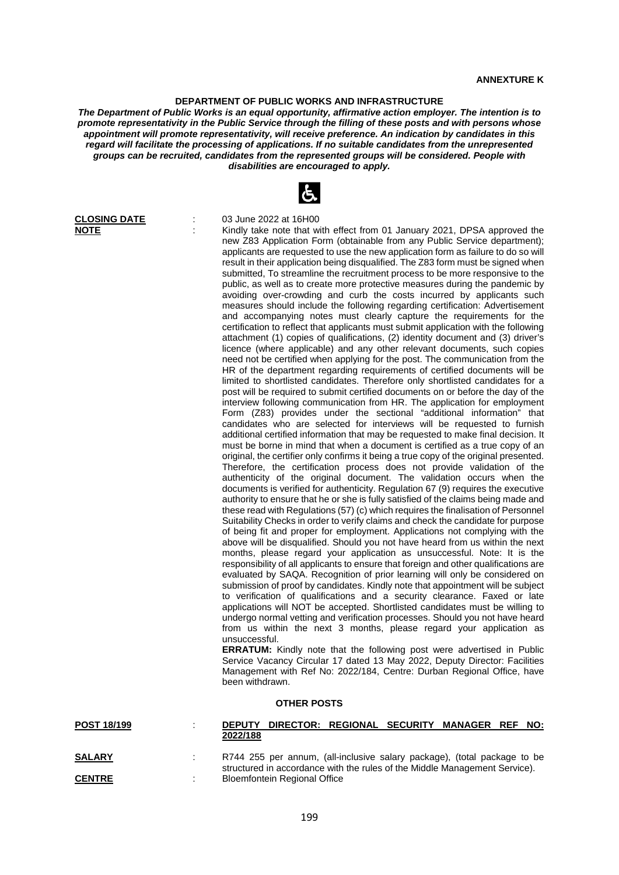## **DEPARTMENT OF PUBLIC WORKS AND INFRASTRUCTURE**

*The Department of Public Works is an equal opportunity, affirmative action employer. The intention is to promote representativity in the Public Service through the filling of these posts and with persons whose appointment will promote representativity, will receive preference. An indication by candidates in this regard will facilitate the processing of applications. If no suitable candidates from the unrepresented groups can be recruited, candidates from the represented groups will be considered. People with disabilities are encouraged to apply.*



**CLOSING DATE** : 03 June 2022 at 16H00

**NOTE** : Kindly take note that with effect from 01 January 2021. DPSA approved the new Z83 Application Form (obtainable from any Public Service department); applicants are requested to use the new application form as failure to do so will result in their application being disqualified. The Z83 form must be signed when submitted, To streamline the recruitment process to be more responsive to the public, as well as to create more protective measures during the pandemic by avoiding over-crowding and curb the costs incurred by applicants such measures should include the following regarding certification: Advertisement and accompanying notes must clearly capture the requirements for the certification to reflect that applicants must submit application with the following attachment (1) copies of qualifications, (2) identity document and (3) driver's licence (where applicable) and any other relevant documents, such copies need not be certified when applying for the post. The communication from the HR of the department regarding requirements of certified documents will be limited to shortlisted candidates. Therefore only shortlisted candidates for a post will be required to submit certified documents on or before the day of the interview following communication from HR. The application for employment Form (Z83) provides under the sectional "additional information" that candidates who are selected for interviews will be requested to furnish additional certified information that may be requested to make final decision. It must be borne in mind that when a document is certified as a true copy of an original, the certifier only confirms it being a true copy of the original presented. Therefore, the certification process does not provide validation of the authenticity of the original document. The validation occurs when the documents is verified for authenticity. Regulation 67 (9) requires the executive authority to ensure that he or she is fully satisfied of the claims being made and these read with Regulations (57) (c) which requires the finalisation of Personnel Suitability Checks in order to verify claims and check the candidate for purpose of being fit and proper for employment. Applications not complying with the above will be disqualified. Should you not have heard from us within the next months, please regard your application as unsuccessful. Note: It is the responsibility of all applicants to ensure that foreign and other qualifications are evaluated by SAQA. Recognition of prior learning will only be considered on submission of proof by candidates. Kindly note that appointment will be subject to verification of qualifications and a security clearance. Faxed or late applications will NOT be accepted. Shortlisted candidates must be willing to undergo normal vetting and verification processes. Should you not have heard from us within the next 3 months, please regard your application as unsuccessful.

**ERRATUM:** Kindly note that the following post were advertised in Public Service Vacancy Circular 17 dated 13 May 2022, Deputy Director: Facilities Management with Ref No: 2022/184, Centre: Durban Regional Office, have been withdrawn.

## **OTHER POSTS**

| POST 18/199   | $\mathbf{r}$ | DEPUTY DIRECTOR: REGIONAL SECURITY MANAGER REF NO:                                                                                                     |
|---------------|--------------|--------------------------------------------------------------------------------------------------------------------------------------------------------|
|               |              | 2022/188                                                                                                                                               |
| <b>SALARY</b> |              | R744 255 per annum, (all-inclusive salary package), (total package to be<br>structured in accordance with the rules of the Middle Management Service). |
| <b>CENTRE</b> |              | <b>Bloemfontein Regional Office</b>                                                                                                                    |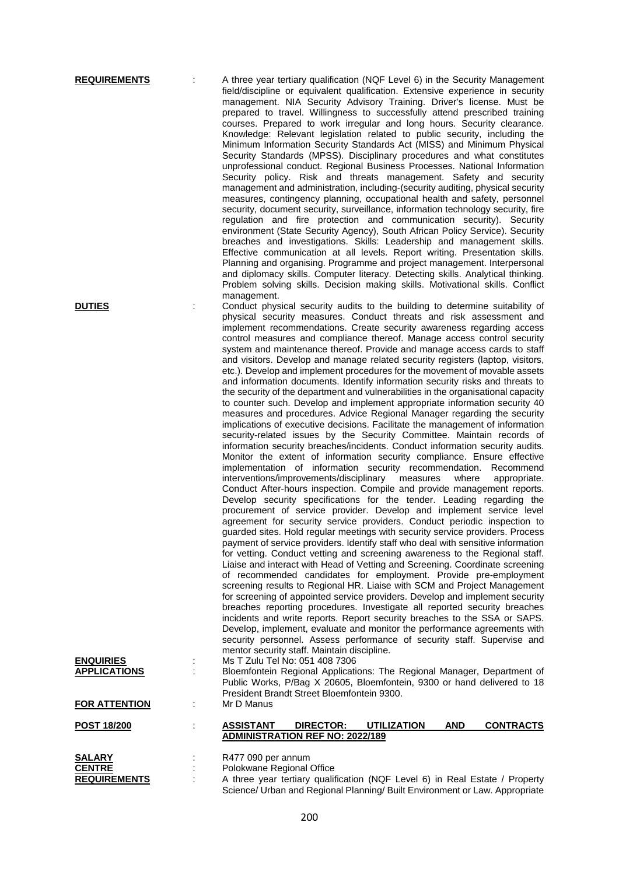**REQUIREMENTS** : A three year tertiary qualification (NQF Level 6) in the Security Management

|                                                          | breaches and investigations. Skills: Leadership and management skills.<br>Effective communication at all levels. Report writing. Presentation skills.<br>Planning and organising. Programme and project management. Interpersonal<br>and diplomacy skills. Computer literacy. Detecting skills. Analytical thinking.<br>Problem solving skills. Decision making skills. Motivational skills. Conflict<br>management.                                                                                                                                                                                                                                                                                                                                                                                                                                                                                                                                                                                                                                                                                                                                                                                                                                                                                                                                                                                                                                                                                                                                                                                                                                                                                                                                                                                                                                                                                                                                                                                                                                                                                                                                                                                                                                                                                                                                                                                                                                                                                                                                                                                                                                                                                                                                                                              |
|----------------------------------------------------------|---------------------------------------------------------------------------------------------------------------------------------------------------------------------------------------------------------------------------------------------------------------------------------------------------------------------------------------------------------------------------------------------------------------------------------------------------------------------------------------------------------------------------------------------------------------------------------------------------------------------------------------------------------------------------------------------------------------------------------------------------------------------------------------------------------------------------------------------------------------------------------------------------------------------------------------------------------------------------------------------------------------------------------------------------------------------------------------------------------------------------------------------------------------------------------------------------------------------------------------------------------------------------------------------------------------------------------------------------------------------------------------------------------------------------------------------------------------------------------------------------------------------------------------------------------------------------------------------------------------------------------------------------------------------------------------------------------------------------------------------------------------------------------------------------------------------------------------------------------------------------------------------------------------------------------------------------------------------------------------------------------------------------------------------------------------------------------------------------------------------------------------------------------------------------------------------------------------------------------------------------------------------------------------------------------------------------------------------------------------------------------------------------------------------------------------------------------------------------------------------------------------------------------------------------------------------------------------------------------------------------------------------------------------------------------------------------------------------------------------------------------------------------------------------------|
| <u>DUTIES</u><br><b>ENQUIRIES</b><br><b>APPLICATIONS</b> | Conduct physical security audits to the building to determine suitability of<br>physical security measures. Conduct threats and risk assessment and<br>implement recommendations. Create security awareness regarding access<br>control measures and compliance thereof. Manage access control security<br>system and maintenance thereof. Provide and manage access cards to staff<br>and visitors. Develop and manage related security registers (laptop, visitors,<br>etc.). Develop and implement procedures for the movement of movable assets<br>and information documents. Identify information security risks and threats to<br>the security of the department and vulnerabilities in the organisational capacity<br>to counter such. Develop and implement appropriate information security 40<br>measures and procedures. Advice Regional Manager regarding the security<br>implications of executive decisions. Facilitate the management of information<br>security-related issues by the Security Committee. Maintain records of<br>information security breaches/incidents. Conduct information security audits.<br>Monitor the extent of information security compliance. Ensure effective<br>implementation of information security recommendation. Recommend<br>interventions/improvements/disciplinary<br>measures<br>where<br>appropriate.<br>Conduct After-hours inspection. Compile and provide management reports.<br>Develop security specifications for the tender. Leading regarding the<br>procurement of service provider. Develop and implement service level<br>agreement for security service providers. Conduct periodic inspection to<br>guarded sites. Hold regular meetings with security service providers. Process<br>payment of service providers. Identify staff who deal with sensitive information<br>for vetting. Conduct vetting and screening awareness to the Regional staff.<br>Liaise and interact with Head of Vetting and Screening. Coordinate screening<br>of recommended candidates for employment. Provide pre-employment<br>screening results to Regional HR. Liaise with SCM and Project Management<br>for screening of appointed service providers. Develop and implement security<br>breaches reporting procedures. Investigate all reported security breaches<br>incidents and write reports. Report security breaches to the SSA or SAPS.<br>Develop, implement, evaluate and monitor the performance agreements with<br>security personnel. Assess performance of security staff. Supervise and<br>mentor security staff. Maintain discipline.<br>Ms T Zulu Tel No: 051 408 7306<br>Bloemfontein Regional Applications: The Regional Manager, Department of<br>Public Works, P/Bag X 20605, Bloemfontein, 9300 or hand delivered to 18 |
| <b>FOR ATTENTION</b>                                     | President Brandt Street Bloemfontein 9300.<br>Mr D Manus                                                                                                                                                                                                                                                                                                                                                                                                                                                                                                                                                                                                                                                                                                                                                                                                                                                                                                                                                                                                                                                                                                                                                                                                                                                                                                                                                                                                                                                                                                                                                                                                                                                                                                                                                                                                                                                                                                                                                                                                                                                                                                                                                                                                                                                                                                                                                                                                                                                                                                                                                                                                                                                                                                                                          |
| POST 18/200                                              | <b>ASSISTANT</b><br>DIRECTOR:<br><b>UTILIZATION</b><br>AND<br><b>CONTRACTS</b><br><b>ADMINISTRATION REF NO: 2022/189</b>                                                                                                                                                                                                                                                                                                                                                                                                                                                                                                                                                                                                                                                                                                                                                                                                                                                                                                                                                                                                                                                                                                                                                                                                                                                                                                                                                                                                                                                                                                                                                                                                                                                                                                                                                                                                                                                                                                                                                                                                                                                                                                                                                                                                                                                                                                                                                                                                                                                                                                                                                                                                                                                                          |
| <u>SALARY</u><br><u>CENTRE</u><br><u>REQUIREMENTS</u>    | R477 090 per annum<br>Polokwane Regional Office<br>A three year tertiary qualification (NQF Level 6) in Real Estate / Property<br>Science/ Urban and Regional Planning/ Built Environment or Law. Appropriate                                                                                                                                                                                                                                                                                                                                                                                                                                                                                                                                                                                                                                                                                                                                                                                                                                                                                                                                                                                                                                                                                                                                                                                                                                                                                                                                                                                                                                                                                                                                                                                                                                                                                                                                                                                                                                                                                                                                                                                                                                                                                                                                                                                                                                                                                                                                                                                                                                                                                                                                                                                     |

field/discipline or equivalent qualification. Extensive experience in security management. NIA Security Advisory Training. Driver's license. Must be prepared to travel. Willingness to successfully attend prescribed training courses. Prepared to work irregular and long hours. Security clearance. Knowledge: Relevant legislation related to public security, including the Minimum Information Security Standards Act (MISS) and Minimum Physical Security Standards (MPSS). Disciplinary procedures and what constitutes unprofessional conduct. Regional Business Processes. National Information Security policy. Risk and threats management. Safety and security management and administration, including-(security auditing, physical security measures, contingency planning, occupational health and safety, personnel security, document security, surveillance, information technology security, fire regulation and fire protection and communication security). Security environment (State Security Agency), South African Policy Service). Security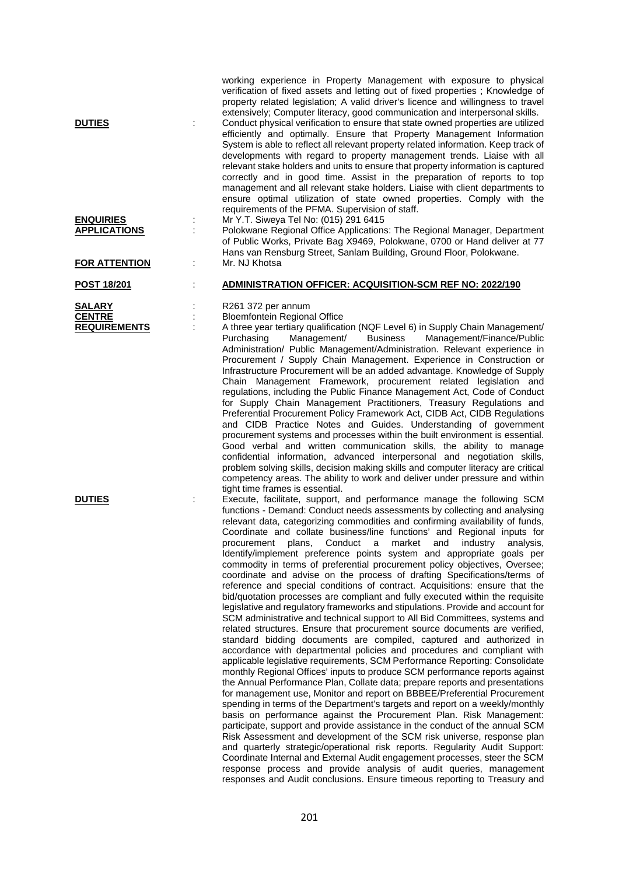| <b>DUTIES</b><br><b>ENQUIRIES</b><br><b>APPLICATIONS</b> | ÷ | working experience in Property Management with exposure to physical<br>verification of fixed assets and letting out of fixed properties; Knowledge of<br>property related legislation; A valid driver's licence and willingness to travel<br>extensively; Computer literacy, good communication and interpersonal skills.<br>Conduct physical verification to ensure that state owned properties are utilized<br>efficiently and optimally. Ensure that Property Management Information<br>System is able to reflect all relevant property related information. Keep track of<br>developments with regard to property management trends. Liaise with all<br>relevant stake holders and units to ensure that property information is captured<br>correctly and in good time. Assist in the preparation of reports to top<br>management and all relevant stake holders. Liaise with client departments to<br>ensure optimal utilization of state owned properties. Comply with the<br>requirements of the PFMA. Supervision of staff.<br>Mr Y.T. Siweya Tel No: (015) 291 6415<br>Polokwane Regional Office Applications: The Regional Manager, Department<br>of Public Works, Private Bag X9469, Polokwane, 0700 or Hand deliver at 77<br>Hans van Rensburg Street, Sanlam Building, Ground Floor, Polokwane.                                                                                                                                                                                                                                                                                                                                                                                                                                                  |
|----------------------------------------------------------|---|---------------------------------------------------------------------------------------------------------------------------------------------------------------------------------------------------------------------------------------------------------------------------------------------------------------------------------------------------------------------------------------------------------------------------------------------------------------------------------------------------------------------------------------------------------------------------------------------------------------------------------------------------------------------------------------------------------------------------------------------------------------------------------------------------------------------------------------------------------------------------------------------------------------------------------------------------------------------------------------------------------------------------------------------------------------------------------------------------------------------------------------------------------------------------------------------------------------------------------------------------------------------------------------------------------------------------------------------------------------------------------------------------------------------------------------------------------------------------------------------------------------------------------------------------------------------------------------------------------------------------------------------------------------------------------------------------------------------------------------------------------------|
| <b>FOR ATTENTION</b><br><u>POST 18/201</u>               | t | Mr. NJ Khotsa<br>ADMINISTRATION OFFICER: ACQUISITION-SCM REF NO: 2022/190                                                                                                                                                                                                                                                                                                                                                                                                                                                                                                                                                                                                                                                                                                                                                                                                                                                                                                                                                                                                                                                                                                                                                                                                                                                                                                                                                                                                                                                                                                                                                                                                                                                                                     |
|                                                          |   |                                                                                                                                                                                                                                                                                                                                                                                                                                                                                                                                                                                                                                                                                                                                                                                                                                                                                                                                                                                                                                                                                                                                                                                                                                                                                                                                                                                                                                                                                                                                                                                                                                                                                                                                                               |
| <b>SALARY</b>                                            |   | R261 372 per annum                                                                                                                                                                                                                                                                                                                                                                                                                                                                                                                                                                                                                                                                                                                                                                                                                                                                                                                                                                                                                                                                                                                                                                                                                                                                                                                                                                                                                                                                                                                                                                                                                                                                                                                                            |
| <b>CENTRE</b><br><b>REQUIREMENTS</b>                     | ÷ | <b>Bloemfontein Regional Office</b><br>A three year tertiary qualification (NQF Level 6) in Supply Chain Management/                                                                                                                                                                                                                                                                                                                                                                                                                                                                                                                                                                                                                                                                                                                                                                                                                                                                                                                                                                                                                                                                                                                                                                                                                                                                                                                                                                                                                                                                                                                                                                                                                                          |
| <b>DUTIES</b>                                            |   | Management/Finance/Public<br>Management/<br>Purchasing<br><b>Business</b><br>Administration/ Public Management/Administration. Relevant experience in<br>Procurement / Supply Chain Management. Experience in Construction or<br>Infrastructure Procurement will be an added advantage. Knowledge of Supply<br>Chain Management Framework, procurement related legislation and<br>regulations, including the Public Finance Management Act, Code of Conduct<br>for Supply Chain Management Practitioners, Treasury Regulations and<br>Preferential Procurement Policy Framework Act, CIDB Act, CIDB Regulations<br>and CIDB Practice Notes and Guides. Understanding of government<br>procurement systems and processes within the built environment is essential.<br>Good verbal and written communication skills, the ability to manage<br>confidential information, advanced interpersonal and negotiation skills,<br>problem solving skills, decision making skills and computer literacy are critical<br>competency areas. The ability to work and deliver under pressure and within<br>tight time frames is essential.<br>Execute, facilitate, support, and performance manage the following SCM<br>functions - Demand: Conduct needs assessments by collecting and analysing<br>relevant data, categorizing commodities and confirming availability of funds,<br>Coordinate and collate business/line functions' and Regional inputs for<br>plans,<br>Conduct<br>$\mathsf a$<br>market<br>industry<br>procurement<br>analysis,<br>and                                                                                                                                                                                                                  |
|                                                          |   | Identify/implement preference points system and appropriate goals per<br>commodity in terms of preferential procurement policy objectives, Oversee;<br>coordinate and advise on the process of drafting Specifications/terms of<br>reference and special conditions of contract. Acquisitions: ensure that the<br>bid/quotation processes are compliant and fully executed within the requisite<br>legislative and regulatory frameworks and stipulations. Provide and account for<br>SCM administrative and technical support to All Bid Committees, systems and<br>related structures. Ensure that procurement source documents are verified,<br>standard bidding documents are compiled, captured and authorized in<br>accordance with departmental policies and procedures and compliant with<br>applicable legislative requirements, SCM Performance Reporting: Consolidate<br>monthly Regional Offices' inputs to produce SCM performance reports against<br>the Annual Performance Plan, Collate data; prepare reports and presentations<br>for management use, Monitor and report on BBBEE/Preferential Procurement<br>spending in terms of the Department's targets and report on a weekly/monthly<br>basis on performance against the Procurement Plan. Risk Management:<br>participate, support and provide assistance in the conduct of the annual SCM<br>Risk Assessment and development of the SCM risk universe, response plan<br>and quarterly strategic/operational risk reports. Regularity Audit Support:<br>Coordinate Internal and External Audit engagement processes, steer the SCM<br>response process and provide analysis of audit queries, management<br>responses and Audit conclusions. Ensure timeous reporting to Treasury and |